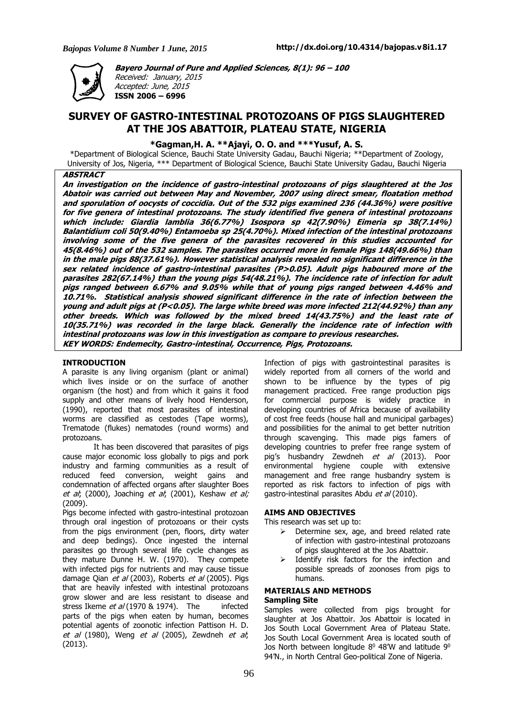

**Bayero Journal of Pure and Applied Sciences, 8(1): 96 – 100** Received: January, 2015

Accepted: June, 2015 **ISSN 2006 – 6996**

## **SURVEY OF GASTRO-INTESTINAL PROTOZOANS OF PIGS SLAUGHTERED AT THE JOS ABATTOIR, PLATEAU STATE, NIGERIA**

**\*Gagman,H. A. \*\*Ajayi, O. O. and \*\*\*Yusuf, A. S.**

\*Department of Biological Science, Bauchi State University Gadau, Bauchi Nigeria; \*\*Department of Zoology, University of Jos, Nigeria, \*\*\* Department of Biological Science, Bauchi State University Gadau, Bauchi Nigeria

## **ABSTRACT**

An investigation on the incidence of gastro-intestinal protozoans of pigs slaughtered at the Jos Abatoir was carried out between May and November, 2007 using direct smear, floatation method and sporulation of oocysts of coccidia. Out of the 532 pigs examined 236 (44.36%) were positive for five genera of intestinal protozoans. The study identified five genera of intestinal protozoans which include: Giardia lamblia 36(6.77%) Isospora sp 42(7.90%) Eimeria sp 38(7.14%) Balantidium coli 50(9.40%) Entamoeba sp 25(4.70%). Mixed infection of the intestinal protozoans involving some of the five genera of the parasites recovered in this studies accounted for 45(8.46%) out of the 532 samples. The parasites occurred more in female Pigs 148(49.66%) than in the male pigs 88(37.61%). However statistical analysis revealed no significant difference in the sex related incidence of gastro-intestinal parasites (P>0.05). Adult pigs haboured more of the parasites 282(67.14%) than the young pigs 54(48.21%). The incidence rate of infection for adult pigs ranged between 6.67% and 9.05% while that of young pigs ranged between 4.46% and 10.71%. Statistical analysis showed significant difference in the rate of infection between the young and adult pigs at (P<0.05). The large white breed was more infected 212(44.92%) than any other breeds. Which was followed by the mixed breed 14(43.75%) and the least rate of 10(35.71%) was recorded in the large black. Generally the incidence rate of infection with intestinal protozoans was low in this investigation as compare to previous researches. **KEY WORDS: Endemecity, Gastro-intestinal, Occurrence, Pigs, Protozoans.**

#### **INTRODUCTION**

A parasite is any living organism (plant or animal) which lives inside or on the surface of another organism (the host) and from which it gains it food supply and other means of lively hood Henderson, (1990), reported that most parasites of intestinal worms are classified as cestodes (Tape worms), Trematode (flukes) nematodes (round worms) and protozoans.

It has been discovered that parasites of pigs cause major economic loss globally to pigs and pork industry and farming communities as a result of reduced feed conversion, weight gains and condemnation of affected organs after slaughter Boes et al; (2000), Joaching et al; (2001), Keshaw et al; (2009).

Pigs become infected with gastro-intestinal protozoan through oral ingestion of protozoans or their cysts from the pigs environment (pen, floors, dirty water and deep bedings). Once ingested the internal parasites go through several life cycle changes as they mature Dunne H. W. (1970). They compete with infected pigs for nutrients and may cause tissue damage Qian et al (2003), Roberts et al (2005). Pigs that are heavily infested with intestinal protozoans grow slower and are less resistant to disease and stress Ikeme *et al* (1970 & 1974). The infected parts of the pigs when eaten by human, becomes potential agents of zoonotic infection Pattison H. D. et al  $(1980)$ , Weng et al  $(2005)$ , Zewdneh et al; (2013).

Infection of pigs with gastrointestinal parasites is widely reported from all corners of the world and shown to be influence by the types of pig management practiced. Free range production pigs for commercial purpose is widely practice in developing countries of Africa because of availability of cost free feeds (house hall and municipal garbages) and possibilities for the animal to get better nutrition through scavenging. This made pigs famers of developing countries to prefer free range system of pig's husbandry Zewdneh et al (2013). Poor environmental hygiene couple with extensive management and free range husbandry system is reported as risk factors to infection of pigs with gastro-intestinal parasites Abdu et al (2010).

## **AIMS AND OBJECTIVES**

This research was set up to:

- $\triangleright$  Determine sex, age, and breed related rate of infection with gastro-intestinal protozoans of pigs slaughtered at the Jos Abattoir.
- $\triangleright$  Identify risk factors for the infection and possible spreads of zoonoses from pigs to humans.

## **MATERIALS AND METHODS**

## **Sampling Site**

Samples were collected from pigs brought for slaughter at Jos Abattoir. Jos Abattoir is located in Jos South Local Government Area of Plateau State. Jos South Local Government Area is located south of Jos North between longitude  $8^0$  48'W and latitude  $9^0$ 94'N., in North Central Geo-political Zone of Nigeria.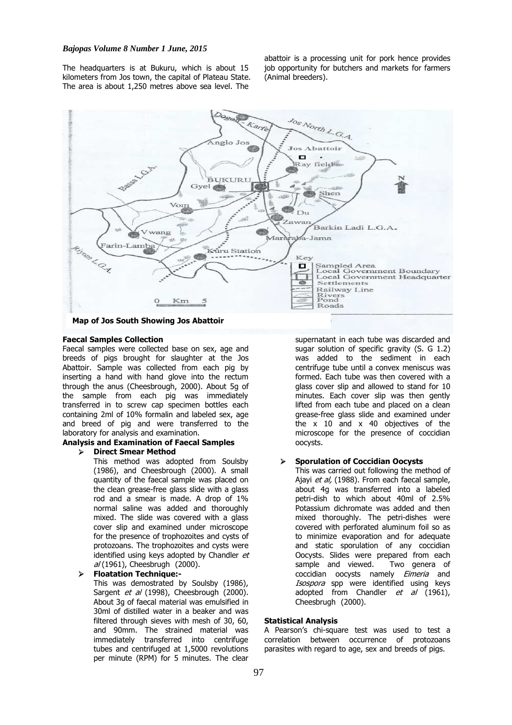#### *Bajopas Volume 8 Number 1 June, 2015*

The headquarters is at Bukuru, which is about 15 kilometers from Jos town, the capital of Plateau State. The area is about 1,250 metres above sea level. The

abattoir is a processing unit for pork hence provides job opportunity for butchers and markets for farmers (Animal breeders).



# **Map of Jos South Showing Jos Abattoir**

## **Faecal Samples Collection**

Faecal samples were collected base on sex, age and breeds of pigs brought for slaughter at the Jos Abattoir. Sample was collected from each pig by inserting a hand with hand glove into the rectum through the anus (Cheesbrough, 2000). About 5g of the sample from each pig was immediately transferred in to screw cap specimen bottles each containing 2ml of 10% formalin and labeled sex, age and breed of pig and were transferred to the laboratory for analysis and examination.

## **Analysis and Examination of Faecal Samples**

#### **Direct Smear Method**

This method was adopted from Soulsby (1986), and Cheesbrough (2000). A small quantity of the faecal sample was placed on the clean grease-free glass slide with a glass rod and a smear is made. A drop of 1% normal saline was added and thoroughly mixed. The slide was covered with a glass cover slip and examined under microscope for the presence of trophozoites and cysts of protozoans. The trophozoites and cysts were identified using keys adopted by Chandler et al (1961), Cheesbrugh (2000).

#### **Floatation Technique:-**

This was demostrated by Soulsby (1986), Sargent *et al* (1998), Cheesbrough (2000). About 3g of faecal material was emulsified in 30ml of distilled water in a beaker and was filtered through sieves with mesh of 30, 60, and 90mm. The strained material was immediately transferred into centrifuge tubes and centrifuged at 1,5000 revolutions per minute (RPM) for 5 minutes. The clear

supernatant in each tube was discarded and sugar solution of specific gravity (S. G 1.2) was added to the sediment in each centrifuge tube until a convex meniscus was formed. Each tube was then covered with a glass cover slip and allowed to stand for 10 minutes. Each cover slip was then gently lifted from each tube and placed on a clean grease-free glass slide and examined under the x 10 and x 40 objectives of the microscope for the presence of coccidian oocysts.

#### **Sporulation of Coccidian Oocysts**

This was carried out following the method of Ajayi et al, (1988). From each faecal sample, about 4g was transferred into a labeled petri-dish to which about 40ml of 2.5% Potassium dichromate was added and then mixed thoroughly. The petri-dishes were covered with perforated aluminum foil so as to minimize evaporation and for adequate and static sporulation of any coccidian Oocysts. Slides were prepared from each sample and viewed. Two genera of coccidian oocysts namely Eimeria and Isospora spp were identified using keys adopted from Chandler  $et$  al (1961), Cheesbrugh (2000).

## **Statistical Analysis**

A Pearson's chi-square test was used to test a correlation between occurrence of protozoans parasites with regard to age, sex and breeds of pigs.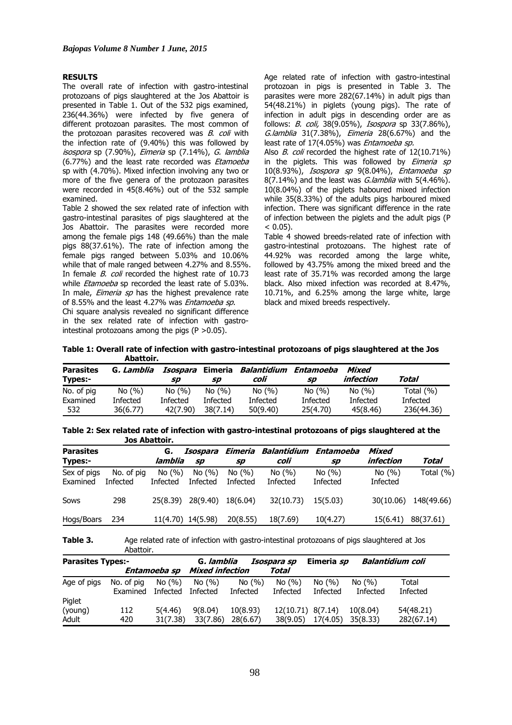#### **RESULTS**

The overall rate of infection with gastro-intestinal protozoans of pigs slaughtered at the Jos Abattoir is presented in Table 1. Out of the 532 pigs examined, 236(44.36%) were infected by five genera of different protozoan parasites. The most common of the protozoan parasites recovered was  $B$ . coli with the infection rate of (9.40%) this was followed by isospora sp (7.90%), Eimeria sp (7.14%), G. lamblia (6.77%) and the least rate recorded was *Etamoeba* sp with (4.70%). Mixed infection involving any two or more of the five genera of the protozaon parasites were recorded in 45(8.46%) out of the 532 sample examined.

Table 2 showed the sex related rate of infection with gastro-intestinal parasites of pigs slaughtered at the Jos Abattoir. The parasites were recorded more among the female pigs 148 (49.66%) than the male pigs 88(37.61%). The rate of infection among the female pigs ranged between 5.03% and 10.06% while that of male ranged between 4.27% and 8.55%. In female *B. coli* recorded the highest rate of 10.73 while *Etamoeba* sp recorded the least rate of 5.03%. In male, *Eimeria sp* has the highest prevalence rate of 8.55% and the least 4.27% was *Entamoeba sp*.

Chi square analysis revealed no significant difference in the sex related rate of infection with gastrointestinal protozoans among the pigs  $(P > 0.05)$ .

Age related rate of infection with gastro-intestinal protozoan in pigs is presented in Table 3. The parasites were more 282(67.14%) in adult pigs than 54(48.21%) in piglets (young pigs). The rate of infection in adult pigs in descending order are as follows: *B. coli,* 38(9.05%), *Isospora* sp 33(7.86%), G.lamblia 31(7.38%), Eimeria 28(6.67%) and the least rate of 17(4.05%) was Entamoeba sp.

Also B. coli recorded the highest rate of 12(10.71%) in the piglets. This was followed by *Eimeria sp* 10(8.93%), Isospora sp 9(8.04%), Entamoeba sp  $8(7.14\%)$  and the least was *G.lamblia* with  $5(4.46\%)$ . 10(8.04%) of the piglets haboured mixed infection while 35(8.33%) of the adults pigs harboured mixed infection. There was significant difference in the rate of infection between the piglets and the adult pigs (P  $(0.05)$ 

Table 4 showed breeds-related rate of infection with gastro-intestinal protozoans. The highest rate of 44.92% was recorded among the large white, followed by 43.75% among the mixed breed and the least rate of 35.71% was recorded among the large black. Also mixed infection was recorded at 8.47%, 10.71%, and 6.25% among the large white, large black and mixed breeds respectively.

**Table 1: Overall rate of infection with gastro-intestinal protozoans of pigs slaughtered at the Jos Abattoir.**

| <b>Parasites</b><br>Types:- | G, Lamblia | Isospara<br>SD | Eimeria<br>sp | Balantidium<br>coli | Entamoeba<br>SD | Mixed<br>infection | Total         |
|-----------------------------|------------|----------------|---------------|---------------------|-----------------|--------------------|---------------|
| No. of pig                  | No(%)      | No(%)          | No(%)         | No(%)               | No(%)           | No(%)              | Total $(\% )$ |
| Examined                    | Infected   | Infected       | Infected      | Infected            | Infected        | Infected           | Infected      |
| 532                         | 36(6.77)   | 42(7.90)       | 38(7.14)      | 50(9.40)            | 25(4.70)        | 45(8.46)           | 236(44.36)    |

**Table 2: Sex related rate of infection with gastro-intestinal protozoans of pigs slaughtered at the Jos Abattoir.**

| <b>Parasites</b><br><b>Types:-</b> |                               | G,<br>lamblia     | Isospara<br><b>SD</b> | Eimeria<br>sp     | Balantidium<br>coli | Entamoeba<br>sp   | Mixed<br>infection     | Total      |
|------------------------------------|-------------------------------|-------------------|-----------------------|-------------------|---------------------|-------------------|------------------------|------------|
| Sex of pigs<br>Examined            | No. of pig<br><b>Infected</b> | No(%)<br>Infected | No(%)<br>Infected     | No(%)<br>Infected | No(%)<br>Infected   | No(%)<br>Infected | No $(\% )$<br>Infected | Total (%)  |
| Sows                               | 298                           | 25(8.39)          | 28(9.40)              | 18(6.04)          | 32(10.73)           | 15(5.03)          | 30(10.06)              | 148(49.66) |
| Hogs/Boars                         | 234                           |                   | 11(4.70) 14(5.98)     | 20(8.55)          | 18(7.69)            | 10(4.27)          | 15(6.41)               | 88(37.61)  |

**Table 3.** Age related rate of infection with gastro-intestinal protozoans of pigs slaughtered at Jos Abattoir.

| <b>Parasites Types:-</b> |                        |                          | G, lamblia<br>Isospara sp |                   |                   | Balantidium coli<br>Eimeria sp |                   |                   |
|--------------------------|------------------------|--------------------------|---------------------------|-------------------|-------------------|--------------------------------|-------------------|-------------------|
|                          |                        | Entamoeba sp             | <b>Mixed infection</b>    |                   | Total             |                                |                   |                   |
| Age of pigs              | No. of pig<br>Examined | No(%)<br><b>Infected</b> | No(%)<br><b>Infected</b>  | No(%)<br>Infected | No(%)<br>Infected | No(%)<br><b>Infected</b>       | No(%)<br>Infected | Total<br>Infected |
| Piglet<br>(young)        | 112                    | 5(4.46)                  | 9(8.04)                   | 10(8.93)          | 12(10.71) 8(7.14) |                                | 10(8.04)          | 54(48.21)         |
| Adult                    | 420                    | 31(7.38)                 | 33(7.86)                  | 28(6.67)          | 38(9.05)          | 17(4.05)                       | 35(8.33)          | 282(67.14)        |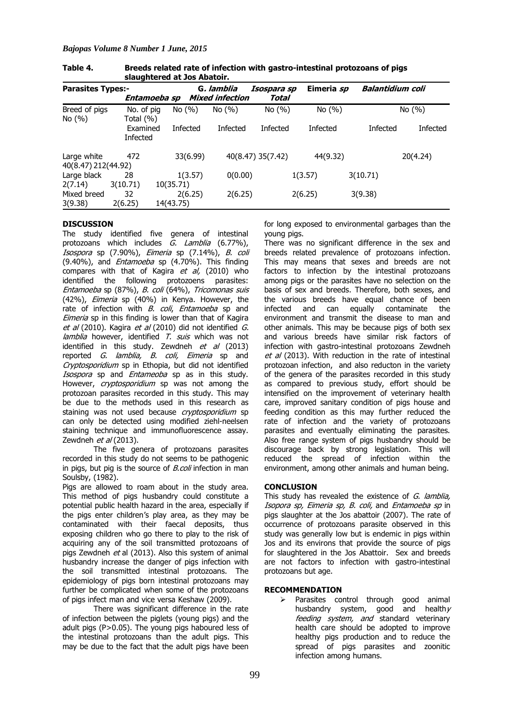*Bajopas Volume 8 Number 1 June, 2015*

| <b>Parasites Types:-</b>           | Entamoeba sp            |                      | G, lamblia<br><b>Mixed infection</b> | Isospara sp<br>Total | Eimeria sp      | Balantidium coli |           |
|------------------------------------|-------------------------|----------------------|--------------------------------------|----------------------|-----------------|------------------|-----------|
| Breed of pigs<br>No $(% )$         | No. of pig<br>Total (%) | No(%)                | No(%)                                | No $(%)$             | No $(%)$        |                  | No $(% )$ |
|                                    | Examined<br>Infected    | Infected             | <b>Infected</b>                      | <b>Infected</b>      | <b>Infected</b> | <b>Infected</b>  | Infected  |
| Large white<br>40(8.47) 212(44.92) | 472                     | 33(6.99)             |                                      | 40(8.47) 35(7.42)    | 44(9.32)        |                  | 20(4.24)  |
| Large black<br>2(7.14)             | 28<br>3(10.71)          | 1(3.57)<br>10(35.71) | 0(0.00)                              |                      | 1(3.57)         | 3(10.71)         |           |
| Mixed breed<br>3(9.38)             | 32<br>2(6.25)           | 2(6.25)<br>14(43.75) | 2(6.25)                              |                      | 2(6.25)         | 3(9.38)          |           |

**Table 4. Breeds related rate of infection with gastro-intestinal protozoans of pigs slaughtered at Jos Abatoir.**

## **DISCUSSION**

The study identified five genera of intestinal protozoans which includes  $\tilde{G}$ . Lamblia (6.77%), .<br>*Isospora* sp (7.90%), *Eimeria* sp (7.14%), *B. coli* (9.40%), and Entamoeba sp (4.70%). This finding compares with that of Kagira  $et$  al, (2010) who identified the following protozoens parasites: Entamoeba sp (87%), B. coli (64%), Tricomonas suis (42%), Eimeria sp (40%) in Kenya. However, the rate of infection with B. coli, Entamoeba sp and Eimeria sp in this finding is lower than that of Kagira et al (2010). Kagira et al (2010) did not identified G. lamblia however, identified T. suis which was not identified in this study. Zewdneh et al (2013) reported *G. lamblia, B. coli, Eimeria* sp and Cryptosporidium sp in Ethopia, but did not identified Isospora sp and *Entameoba* sp as in this study. However, *cryptosporidium* sp was not among the protozoan parasites recorded in this study. This may be due to the methods used in this research as staining was not used because *cryptosporidium* sp can only be detected using modified ziehl-neelsen staining technique and immunofluorescence assay. Zewdneh  $et$   $al$  (2013).

The five genera of protozoans parasites recorded in this study do not seems to be pathogenic in pigs, but pig is the source of  $B.$ coli infection in man Soulsby, (1982).

Pigs are allowed to roam about in the study area. This method of pigs husbandry could constitute a potential public health hazard in the area, especially if the pigs enter children's play area, as they may be contaminated with their faecal deposits, thus exposing children who go there to play to the risk of acquiring any of the soil transmitted protozoans of pigs Zewdneh et al (2013). Also this system of animal husbandry increase the danger of pigs infection with the soil transmitted intestinal protozoans. The epidemiology of pigs born intestinal protozoans may further be complicated when some of the protozoans of pigs infect man and vice versa Keshaw (2009).

There was significant difference in the rate of infection between the piglets (young pigs) and the adult pigs (P˃0.05). The young pigs haboured less of the intestinal protozoans than the adult pigs. This may be due to the fact that the adult pigs have been

for long exposed to environmental garbages than the young pigs.

There was no significant difference in the sex and breeds related prevalence of protozoans infection. This may means that sexes and breeds are not factors to infection by the intestinal protozoans among pigs or the parasites have no selection on the basis of sex and breeds. Therefore, both sexes, and the various breeds have equal chance of been infected and can equally contaminate the environment and transmit the disease to man and other animals. This may be because pigs of both sex and various breeds have similar risk factors of infection with gastro-intestinal protozoans Zewdneh et al (2013). With reduction in the rate of intestinal protozoan infection, and also reducton in the variety of the genera of the parasites recorded in this study as compared to previous study, effort should be intensified on the improvement of veterinary health care, improved sanitary condition of pigs house and feeding condition as this may further reduced the rate of infection and the variety of protozoans parasites and eventually eliminating the parasites. Also free range system of pigs husbandry should be discourage back by strong legislation. This will reduced the spread of infection within the environment, among other animals and human being.

## **CONCLUSION**

This study has revealed the existence of G. lamblia, Isopora sp, Eimeria sp, B. coli, and Entamoeba sp in pigs slaughter at the Jos abattoir (2007). The rate of occurrence of protozoans parasite observed in this study was generally low but is endemic in pigs within Jos and its environs that provide the source of pigs for slaughtered in the Jos Abattoir. Sex and breeds are not factors to infection with gastro-intestinal protozoans but age.

#### **RECOMMENDATION**

> Parasites control through good animal husbandry system, good and health $\gamma$ feeding system, and standard veterinary health care should be adopted to improve healthy pigs production and to reduce the spread of pigs parasites and zoonitic infection among humans.